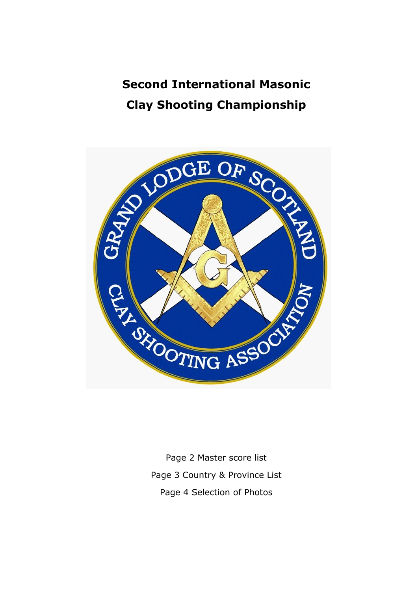## **Second International Masonic Clay Shooting Championship**



Page 2 Master score list Page 3 Country & Province List Page 4 Selection of Photos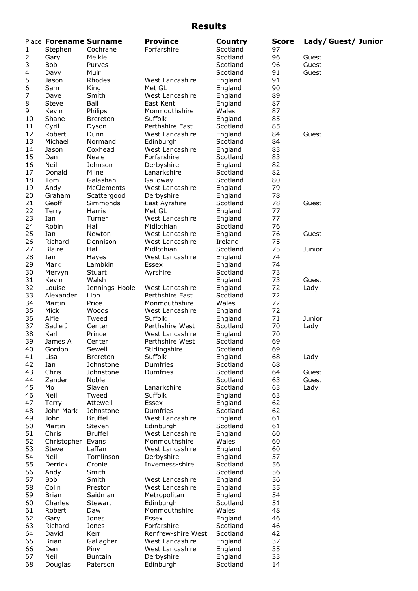## **Results**

|                | Place Forename Surname |                 | <b>Province</b>    | Country  | <b>Score</b> | Lady/Guest/Junior |
|----------------|------------------------|-----------------|--------------------|----------|--------------|-------------------|
| 1              | Stephen                | Cochrane        | Forfarshire        | Scotland | 97           |                   |
| $\overline{2}$ | Gary                   | Meikle          |                    | Scotland | 96           | Guest             |
| 3              |                        |                 |                    |          | 96           |                   |
|                | Bob                    | Purves          |                    | Scotland |              | Guest             |
| 4              | Davy                   | Muir            |                    | Scotland | 91           | Guest             |
| 5              | Jason                  | Rhodes          | West Lancashire    | England  | 91           |                   |
| 6              | Sam                    | King            | Met GL             | England  | 90           |                   |
| 7              | Dave                   | Smith           | West Lancashire    | England  | 89           |                   |
| 8              | Steve                  | Ball            | East Kent          | England  | 87           |                   |
| 9              | Kevin                  | Philips         | Monmouthshire      | Wales    | 87           |                   |
| 10             | Shane                  | Brereton        | Suffolk            | England  | 85           |                   |
| 11             | Cyril                  | Dyson           | Perthshire East    | Scotland | 85           |                   |
| 12             | Robert                 | Dunn            | West Lancashire    | England  | 84           | Guest             |
| 13             | Michael                | Normand         | Edinburgh          | Scotland | 84           |                   |
| 14             | Jason                  | Coxhead         | West Lancashire    | England  | 83           |                   |
| 15             |                        |                 |                    |          |              |                   |
|                | Dan                    | Neale           | Forfarshire        | Scotland | 83           |                   |
| 16             | Neil                   | Johnson         | Derbyshire         | England  | 82           |                   |
| 17             | Donald                 | Milne           | Lanarkshire        | Scotland | 82           |                   |
| 18             | Tom                    | Galashan        | Galloway           | Scotland | 80           |                   |
| 19             | Andy                   | McClements      | West Lancashire    | England  | 79           |                   |
| 20             | Graham                 | Scattergood     | Derbyshire         | England  | 78           |                   |
| 21             | Geoff                  | Simmonds        | East Ayrshire      | Scotland | 78           | Guest             |
| 22             | Terry                  | Harris          | Met GL             | England  | 77           |                   |
| 23             | Ian                    | Turner          | West Lancashire    | England  | 77           |                   |
| 24             | Robin                  | Hall            | Midlothian         | Scotland | 76           |                   |
|                | Ian                    |                 |                    |          | 76           |                   |
| 25             |                        | Newton          | West Lancashire    | England  |              | Guest             |
| 26             | Richard                | Dennison        | West Lancashire    | Ireland  | 75           |                   |
| 27             | <b>Blaire</b>          | Hall            | Midlothian         | Scotland | 75           | Junior            |
| 28             | Ian                    | Hayes           | West Lancashire    | England  | 74           |                   |
| 29             | Mark                   | Lambkin         | Essex              | England  | 74           |                   |
| 30             | Mervyn                 | Stuart          | Ayrshire           | Scotland | 73           |                   |
| 31             | Kevin                  | Walsh           |                    | England  | 73           | Guest             |
| 32             | Louise                 | Jennings-Hoole  | West Lancashire    | England  | 72           | Lady              |
| 33             | Alexander              | Lipp            | Perthshire East    | Scotland | 72           |                   |
| 34             | Martin                 | Price           | Monmouthshire      | Wales    | 72           |                   |
| 35             | Mick                   | Woods           | West Lancashire    | England  | 72           |                   |
| 36             | Alfie                  | Tweed           | Suffolk            |          | 71           | Junior            |
|                |                        |                 |                    | England  |              |                   |
| 37             | Sadie J                | Center          | Perthshire West    | Scotland | 70           | Lady              |
| 38             | Karl                   | Prince          | West Lancashire    | England  | 70           |                   |
| 39             | James A                | Center          | Perthshire West    | Scotland | 69           |                   |
| 40             | Gordon                 | Sewell          | Stirlingshire      | Scotland | 69           |                   |
| 41             | Lisa                   | <b>Brereton</b> | Suffolk            | England  | 68           | Lady              |
| 42             | Ian                    | Johnstone       | Dumfries           | Scotland | 68           |                   |
| 43             | Chris                  | Johnstone       | Dumfries           | Scotland | 64           | Guest             |
| 44             | Zander                 | Noble           |                    | Scotland | 63           | Guest             |
| 45             | Mo                     | Slaven          | Lanarkshire        | Scotland | 63           | Lady              |
| 46             | Neil                   | Tweed           | Suffolk            | England  | 63           |                   |
| 47             | Terry                  | Attewell        | Essex              | England  | 62           |                   |
| 48             | John Mark              | Johnstone       | Dumfries           | Scotland | 62           |                   |
|                |                        | <b>Bruffel</b>  |                    |          |              |                   |
| 49             | John                   |                 | West Lancashire    | England  | 61           |                   |
| 50             | Martin                 | Steven          | Edinburgh          | Scotland | 61           |                   |
| 51             | Chris                  | <b>Bruffel</b>  | West Lancashire    | England  | 60           |                   |
| 52             | Christopher Evans      |                 | Monmouthshire      | Wales    | 60           |                   |
| 53             | Steve                  | Laffan          | West Lancashire    | England  | 60           |                   |
| 54             | Neil                   | Tomlinson       | Derbyshire         | England  | 57           |                   |
| 55             | Derrick                | Cronie          | Inverness-shire    | Scotland | 56           |                   |
| 56             | Andy                   | Smith           |                    | Scotland | 56           |                   |
| 57             | Bob                    | Smith           | West Lancashire    | England  | 56           |                   |
| 58             | Colin                  | Preston         | West Lancashire    | England  | 55           |                   |
| 59             | <b>Brian</b>           | Saidman         | Metropolitan       | England  | 54           |                   |
| 60             |                        |                 |                    |          | 51           |                   |
|                | Charles                | Stewart         | Edinburgh          | Scotland |              |                   |
| 61             | Robert                 | Daw             | Monmouthshire      | Wales    | 48           |                   |
| 62             | Gary                   | Jones           | Essex              | England  | 46           |                   |
| 63             | Richard                | Jones           | Forfarshire        | Scotland | 46           |                   |
| 64             | David                  | Kerr            | Renfrew-shire West | Scotland | 42           |                   |
| 65             | <b>Brian</b>           | Gallagher       | West Lancashire    | England  | 37           |                   |
| 66             | Den                    | Piny            | West Lancashire    | England  | 35           |                   |
| 67             | Neil                   | <b>Buntain</b>  | Derbyshire         | England  | 33           |                   |
| 68             | Douglas                | Paterson        | Edinburgh          | Scotland | 14           |                   |
|                |                        |                 |                    |          |              |                   |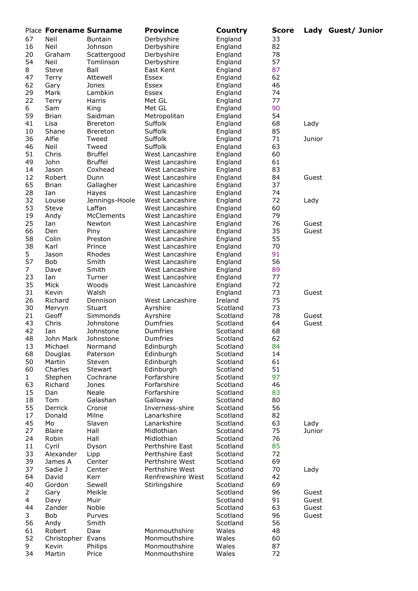|                | Place Forename Surname |                 | <b>Province</b>   | Country  | <b>Score</b> |        | Lady Guest/ Junior |
|----------------|------------------------|-----------------|-------------------|----------|--------------|--------|--------------------|
| 67             | Neil                   | <b>Buntain</b>  | Derbyshire        | England  | 33           |        |                    |
| 16             | Neil                   | Johnson         | Derbyshire        | England  | 82           |        |                    |
| 20             | Graham                 | Scattergood     | Derbyshire        | England  | 78           |        |                    |
| 54             | Neil                   | Tomlinson       | Derbyshire        | England  | 57           |        |                    |
| 8              | Steve                  | Ball            | East Kent         | England  | 87           |        |                    |
|                |                        |                 |                   |          | 62           |        |                    |
| 47             | Terry                  | Attewell        | Essex             | England  |              |        |                    |
| 62             | Gary                   | Jones           | Essex             | England  | 46           |        |                    |
| 29             | Mark                   | Lambkin         | Essex             | England  | 74           |        |                    |
| 22             | Terry                  | Harris          | Met GL            | England  | 77           |        |                    |
| 6              | Sam                    | King            | Met GL            | England  | 90           |        |                    |
| 59             | <b>Brian</b>           | Saidman         | Metropolitan      | England  | 54           |        |                    |
| 41             | Lisa                   | <b>Brereton</b> | Suffolk           | England  | 68           | Lady   |                    |
| 10             | Shane                  | <b>Brereton</b> | Suffolk           | England  | 85           |        |                    |
| 36             | Alfie                  | Tweed           | Suffolk           | England  | 71           | Junior |                    |
| 46             | Neil                   | Tweed           | Suffolk           | England  | 63           |        |                    |
| 51             | Chris                  | <b>Bruffel</b>  | West Lancashire   | England  | 60           |        |                    |
| 49             | John                   | <b>Bruffel</b>  | West Lancashire   | England  | 61           |        |                    |
| 14             | Jason                  | Coxhead         | West Lancashire   | England  | 83           |        |                    |
|                |                        |                 |                   |          |              |        |                    |
| 12             | Robert                 | Dunn            | West Lancashire   | England  | 84           | Guest  |                    |
| 65             | <b>Brian</b>           | Gallagher       | West Lancashire   | England  | 37           |        |                    |
| 28             | Ian                    | Hayes           | West Lancashire   | England  | 74           |        |                    |
| 32             | Louise                 | Jennings-Hoole  | West Lancashire   | England  | 72           | Lady   |                    |
| 53             | Steve                  | Laffan          | West Lancashire   | England  | 60           |        |                    |
| 19             | Andy                   | McClements      | West Lancashire   | England  | 79           |        |                    |
| 25             | Ian                    | Newton          | West Lancashire   | England  | 76           | Guest  |                    |
| 66             | Den                    | Piny            | West Lancashire   | England  | 35           | Guest  |                    |
| 58             | Colin                  | Preston         | West Lancashire   | England  | 55           |        |                    |
| 38             | Karl                   | Prince          | West Lancashire   | England  | 70           |        |                    |
| 5              | Jason                  | Rhodes          | West Lancashire   | England  | 91           |        |                    |
| 57             | <b>Bob</b>             | Smith           | West Lancashire   | England  | 56           |        |                    |
|                |                        |                 |                   |          |              |        |                    |
| 7              | Dave                   | Smith           | West Lancashire   | England  | 89           |        |                    |
| 23             | Ian                    | Turner          | West Lancashire   | England  | 77           |        |                    |
| 35             | Mick                   | Woods           | West Lancashire   | England  | 72           |        |                    |
| 31             | Kevin                  | Walsh           |                   | England  | 73           | Guest  |                    |
| 26             | Richard                | Dennison        | West Lancashire   | Ireland  | 75           |        |                    |
| 30             | Mervyn                 | Stuart          | Ayrshire          | Scotland | 73           |        |                    |
| 21             | Geoff                  | Simmonds        | Ayrshire          | Scotland | 78           | Guest  |                    |
| 43             | Chris                  | Johnstone       | Dumfries          | Scotland | 64           | Guest  |                    |
| 42             | Ian                    | Johnstone       | Dumfries          | Scotland | 68           |        |                    |
| 48             | John Mark              | Johnstone       | Dumfries          | Scotland | 62           |        |                    |
| 13             | Michael                | Normand         | Edinburgh         | Scotland | 84           |        |                    |
| 68             | Douglas                | Paterson        | Edinburgh         | Scotland | 14           |        |                    |
| 50             | Martin                 | Steven          | Edinburgh         |          | 61           |        |                    |
|                |                        |                 |                   | Scotland |              |        |                    |
| 60             | Charles                | Stewart         | Edinburgh         | Scotland | 51           |        |                    |
| $\mathbf{1}$   | Stephen                | Cochrane        | Forfarshire       | Scotland | 97           |        |                    |
| 63             | Richard                | Jones           | Forfarshire       | Scotland | 46           |        |                    |
| 15             | Dan                    | Neale           | Forfarshire       | Scotland | 83           |        |                    |
| 18             | Tom                    | Galashan        | Galloway          | Scotland | 80           |        |                    |
| 55             | Derrick                | Cronie          | Inverness-shire   | Scotland | 56           |        |                    |
| 17             | Donald                 | Milne           | Lanarkshire       | Scotland | 82           |        |                    |
| 45             | Mo                     | Slaven          | Lanarkshire       | Scotland | 63           | Lady   |                    |
| 27             | <b>Blaire</b>          | Hall            | Midlothian        | Scotland | 75           | Junior |                    |
| 24             | Robin                  | Hall            | Midlothian        | Scotland | 76           |        |                    |
| 11             | Cyril                  | Dyson           | Perthshire East   | Scotland | 85           |        |                    |
| 33             | Alexander              | Lipp            | Perthshire East   | Scotland | 72           |        |                    |
| 39             | James A                | Center          | Perthshire West   | Scotland | 69           |        |                    |
| 37             | Sadie J                | Center          | Perthshire West   | Scotland | 70           | Lady   |                    |
|                |                        |                 |                   |          |              |        |                    |
| 64             | David                  | Kerr            | Renfrewshire West | Scotland | 42           |        |                    |
| 40             | Gordon                 | Sewell          | Stirlingshire     | Scotland | 69           |        |                    |
| $\overline{a}$ | Gary                   | Meikle          |                   | Scotland | 96           | Guest  |                    |
| 4              | Davy                   | Muir            |                   | Scotland | 91           | Guest  |                    |
| 44             | Zander                 | Noble           |                   | Scotland | 63           | Guest  |                    |
| 3              | Bob                    | Purves          |                   | Scotland | 96           | Guest  |                    |
| 56             | Andy                   | Smith           |                   | Scotland | 56           |        |                    |
| 61             | Robert                 | Daw             | Monmouthshire     | Wales    | 48           |        |                    |
| 52             | Christopher Evans      |                 | Monmouthshire     | Wales    | 60           |        |                    |
| 9              | Kevin                  | Philips         | Monmouthshire     | Wales    | 87           |        |                    |
| 34             | Martin                 | Price           | Monmouthshire     | Wales    | 72           |        |                    |
|                |                        |                 |                   |          |              |        |                    |